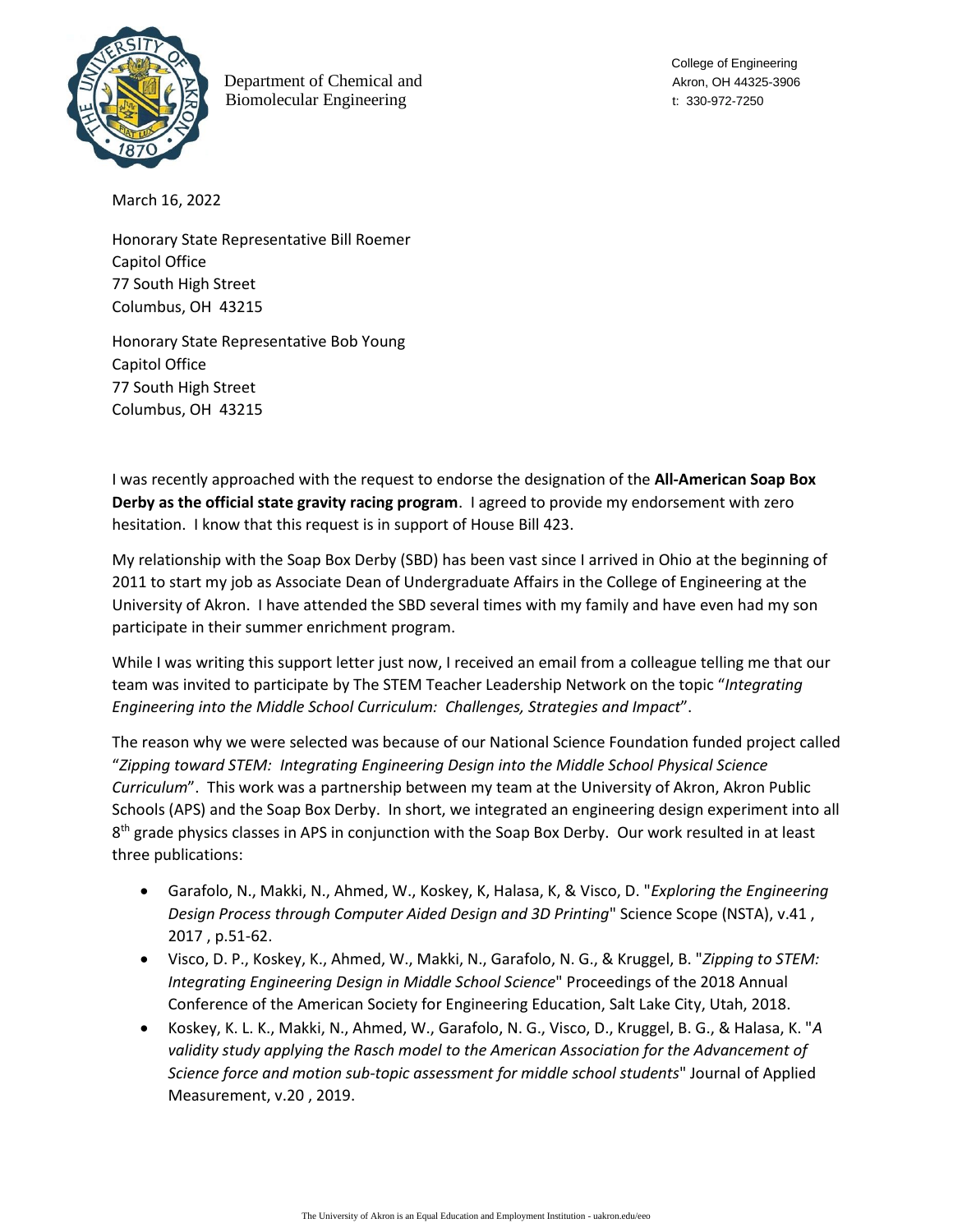

Department of Chemical and Akron, OH 44325-3906 Biomolecular Engineering t: 330-972-7250

College of Engineering

March 16, 2022

Honorary State Representative Bill Roemer Capitol Office 77 South High Street Columbus, OH 43215

Honorary State Representative Bob Young Capitol Office 77 South High Street Columbus, OH 43215

I was recently approached with the request to endorse the designation of the **All-American Soap Box Derby as the official state gravity racing program**. I agreed to provide my endorsement with zero hesitation. I know that this request is in support of House Bill 423.

My relationship with the Soap Box Derby (SBD) has been vast since I arrived in Ohio at the beginning of 2011 to start my job as Associate Dean of Undergraduate Affairs in the College of Engineering at the University of Akron. I have attended the SBD several times with my family and have even had my son participate in their summer enrichment program.

While I was writing this support letter just now, I received an email from a colleague telling me that our team was invited to participate by The STEM Teacher Leadership Network on the topic "*Integrating Engineering into the Middle School Curriculum: Challenges, Strategies and Impact*".

The reason why we were selected was because of our National Science Foundation funded project called "*Zipping toward STEM: Integrating Engineering Design into the Middle School Physical Science Curriculum*". This work was a partnership between my team at the University of Akron, Akron Public Schools (APS) and the Soap Box Derby. In short, we integrated an engineering design experiment into all 8<sup>th</sup> grade physics classes in APS in conjunction with the Soap Box Derby. Our work resulted in at least three publications:

- Garafolo, N., Makki, N., Ahmed, W., Koskey, K, Halasa, K, & Visco, D. "*Exploring the Engineering Design Process through Computer Aided Design and 3D Printing*" Science Scope (NSTA), v.41 , 2017 , p.51-62.
- Visco, D. P., Koskey, K., Ahmed, W., Makki, N., Garafolo, N. G., & Kruggel, B. "*Zipping to STEM: Integrating Engineering Design in Middle School Science*" Proceedings of the 2018 Annual Conference of the American Society for Engineering Education, Salt Lake City, Utah, 2018.
- Koskey, K. L. K., Makki, N., Ahmed, W., Garafolo, N. G., Visco, D., Kruggel, B. G., & Halasa, K. "*A*  validity study applying the Rasch model to the American Association for the Advancement of *Science force and motion sub-topic assessment for middle school students*" Journal of Applied Measurement, v.20 , 2019.